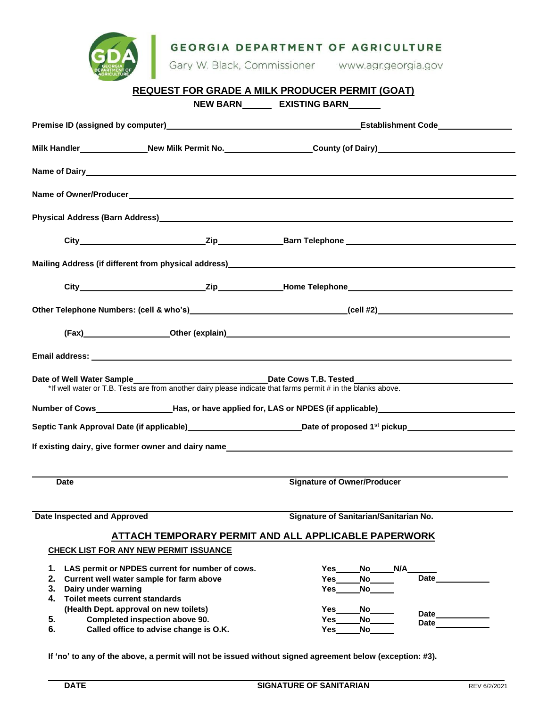| <b>GDA</b> | <b>GEORGIA DEPARTMENT OF AGRICULTURE</b>           |
|------------|----------------------------------------------------|
|            | Gary W. Black, Commissioner<br>www.agr.georgia.gov |

|                                             |                                                                                                                                                  | <b>REQUEST FOR GRADE A MILK PRODUCER PERMIT (GOAT)</b>                                                                                                                                                                         |
|---------------------------------------------|--------------------------------------------------------------------------------------------------------------------------------------------------|--------------------------------------------------------------------------------------------------------------------------------------------------------------------------------------------------------------------------------|
|                                             |                                                                                                                                                  | NEW BARN EXISTING BARN                                                                                                                                                                                                         |
|                                             |                                                                                                                                                  |                                                                                                                                                                                                                                |
|                                             |                                                                                                                                                  | Milk Handler_______________New Milk Permit No.__________________County (of Dairy)___________________                                                                                                                           |
|                                             |                                                                                                                                                  |                                                                                                                                                                                                                                |
|                                             |                                                                                                                                                  |                                                                                                                                                                                                                                |
|                                             | Physical Address (Barn Address)<br>Managem Managem Managem Managem Managem Managem Managem Managem Managem Managem Managem Managem Managem Manag |                                                                                                                                                                                                                                |
|                                             |                                                                                                                                                  |                                                                                                                                                                                                                                |
|                                             |                                                                                                                                                  |                                                                                                                                                                                                                                |
|                                             |                                                                                                                                                  |                                                                                                                                                                                                                                |
|                                             |                                                                                                                                                  |                                                                                                                                                                                                                                |
|                                             |                                                                                                                                                  | (Fax) Other (explain) COMEXANDER CONSUMING THE CONSUMING THE CONSUMING THE CONSUMING THE CONSUMING THE CONSUMING THE CONSUMING THE CONSUMING THE CONSUMING THE CONSUMING THE CONSUMING THE CONSUMING THE CONSUMING THE CONSUMI |
|                                             |                                                                                                                                                  |                                                                                                                                                                                                                                |
|                                             |                                                                                                                                                  |                                                                                                                                                                                                                                |
|                                             |                                                                                                                                                  | Number of Cows____________________Has, or have applied for, LAS or NPDES (if applicable)______________________                                                                                                                 |
|                                             |                                                                                                                                                  |                                                                                                                                                                                                                                |
|                                             |                                                                                                                                                  | If existing dairy, give former owner and dairy name                                                                                                                                                                            |
|                                             |                                                                                                                                                  |                                                                                                                                                                                                                                |
| Date Inspected and Approved                 |                                                                                                                                                  | Signature of Sanitarian/Sanitarian No.                                                                                                                                                                                         |
|                                             |                                                                                                                                                  | <b>ATTACH TEMPORARY PERMIT AND ALL APPLICABLE PAPERWORK</b>                                                                                                                                                                    |
|                                             | <b>CHECK LIST FOR ANY NEW PERMIT ISSUANCE</b>                                                                                                    |                                                                                                                                                                                                                                |
| 1.<br>2.                                    | LAS permit or NPDES current for number of cows.<br>Current well water sample for farm above                                                      | N/A<br>Yes<br>No.<br>Date<br>Yes<br>No                                                                                                                                                                                         |
| 3.<br>Dairy under warning                   |                                                                                                                                                  | <b>No</b><br>Yes                                                                                                                                                                                                               |
| <b>Toilet meets current standards</b><br>4. | (Health Dept. approval on new toilets)                                                                                                           | Yes<br>No.                                                                                                                                                                                                                     |
| 5.                                          | Completed inspection above 90.                                                                                                                   | Date<br>Yes<br>No l<br>Date                                                                                                                                                                                                    |
| 6.                                          | Called office to advise change is O.K.                                                                                                           | No<br>Yes                                                                                                                                                                                                                      |

**If 'no' to any of the above, a permit will not be issued without signed agreement below (exception: #3).**